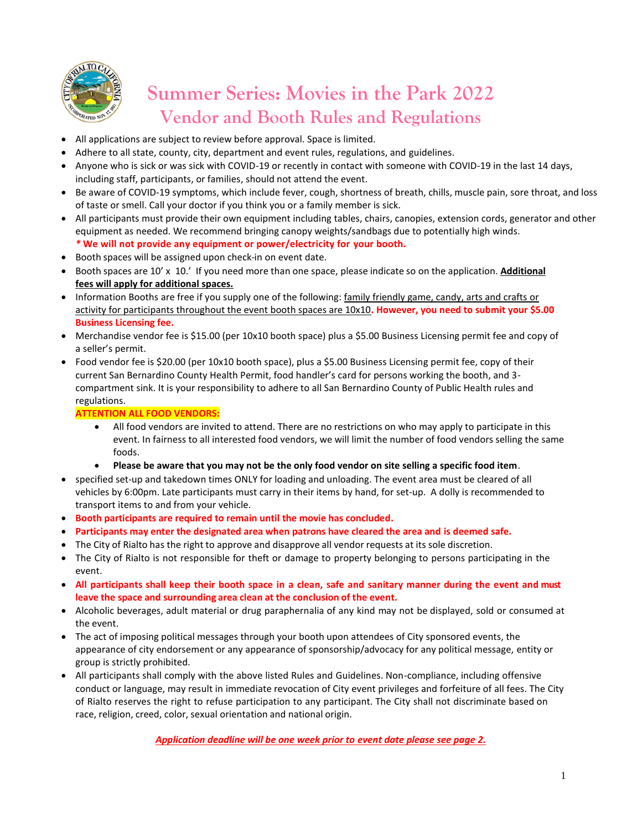

# **Summer Series: Movies in the Park 2022 Vendor and Booth Rules and Regulations**

- All applications are subject to review before approval. Space is limited.
- Adhere to all state, county, city, department and event rules, regulations, and guidelines.
- Anyone who is sick or was sick with COVID-19 or recently in contact with someone with COVID-19 in the last 14 days, including staff, participants, or families, should not attend the event.
- Be aware of COVID-19 symptoms, which include fever, cough, shortness of breath, chills, muscle pain, sore throat, and loss of taste or smell. Call your doctor if you think you or a family member is sick.
- All participants must provide their own equipment including tables, chairs, canopies, extension cords, generator and other equipment as needed. We recommend bringing canopy weights/sandbags due to potentially high winds. *\** **We will not provide any equipment or power/electricity for your booth.**
- Booth spaces will be assigned upon check-in on event date.
- Booth spaces are 10' x 10.' If you need more than one space, please indicate so on the application. **Additional fees will apply for additional spaces.**
- Information Booths are free if you supply one of the following: family friendly game, candy, arts and crafts or activity for participants throughout the event booth spaces are 10x10**. However, you need to submit your \$5.00 Business Licensing fee.**
- Merchandise vendor fee is \$15.00 (per 10x10 booth space) plus a \$5.00 Business Licensing permit fee and copy of a seller's permit.
- Food vendor fee is \$20.00 (per 10x10 booth space), plus a \$5.00 Business Licensing permit fee, copy of their current San Bernardino County Health Permit, food handler's card for persons working the booth, and 3 compartment sink. It is your responsibility to adhere to all San Bernardino County of Public Health rules and regulations.

#### **ATTENTION ALL FOOD VENDORS:**

- All food vendors are invited to attend. There are no restrictions on who may apply to participate in this event. In fairness to all interested food vendors, we will limit the number of food vendors selling the same foods.
- **Please be aware that you may not be the only food vendor on site selling a specific food item**.
- specified set-up and takedown times ONLY for loading and unloading. The event area must be cleared of all vehicles by 6:00pm. Late participants must carry in their items by hand, for set-up. A dolly is recommended to transport items to and from your vehicle.
- **Booth participants are required to remain until the movie has concluded.**
- **Participants may enter the designated area when patrons have cleared the area and is deemed safe.**
- The City of Rialto has the right to approve and disapprove all vendor requests at its sole discretion.
- The City of Rialto is not responsible for theft or damage to property belonging to persons participating in the event.
- All participants shall keep their booth space in a clean, safe and sanitary manner during the event and must **leave the space and surrounding area clean at the conclusion of the event.**
- Alcoholic beverages, adult material or drug paraphernalia of any kind may not be displayed, sold or consumed at the event.
- The act of imposing political messages through your booth upon attendees of City sponsored events, the appearance of city endorsement or any appearance of sponsorship/advocacy for any political message, entity or group is strictly prohibited.
- All participants shall comply with the above listed Rules and Guidelines. Non-compliance, including offensive conduct or language, may result in immediate revocation of City event privileges and forfeiture of all fees. The City of Rialto reserves the right to refuse participation to any participant. The City shall not discriminate based on race, religion, creed, color, sexual orientation and national origin.

*Application deadline will be one week prior to event date please see page 2.*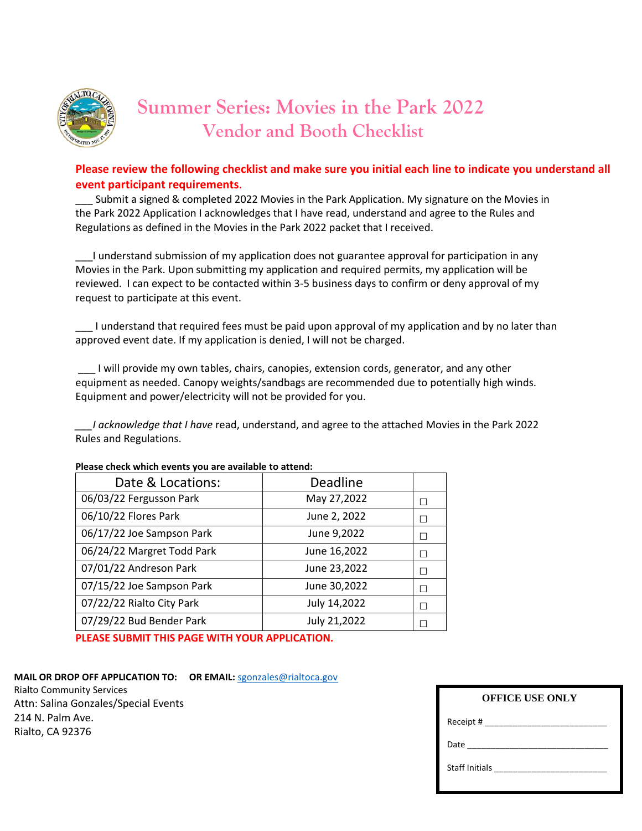

# **Summer Series: Movies in the Park 2022 Vendor and Booth Checklist**

### **Please review the following checklist and make sure you initial each line to indicate you understand all event participant requirements.**

Submit a signed & completed 2022 Movies in the Park Application. My signature on the Movies in the Park 2022 Application I acknowledges that I have read, understand and agree to the Rules and Regulations as defined in the Movies in the Park 2022 packet that I received.

\_\_\_I understand submission of my application does not guarantee approval for participation in any Movies in the Park. Upon submitting my application and required permits, my application will be reviewed. I can expect to be contacted within 3-5 business days to confirm or deny approval of my request to participate at this event.

\_\_\_ I understand that required fees must be paid upon approval of my application and by no later than approved event date. If my application is denied, I will not be charged.

\_\_\_ I will provide my own tables, chairs, canopies, extension cords, generator, and any other equipment as needed. Canopy weights/sandbags are recommended due to potentially high winds. Equipment and power/electricity will not be provided for you.

*\_\_\_I acknowledge that I have* read, understand, and agree to the attached Movies in the Park 2022 Rules and Regulations.

| Date & Locations:          | Deadline     |    |
|----------------------------|--------------|----|
| 06/03/22 Fergusson Park    | May 27,2022  | П  |
| 06/10/22 Flores Park       | June 2, 2022 | П  |
| 06/17/22 Joe Sampson Park  | June 9,2022  | П  |
| 06/24/22 Margret Todd Park | June 16,2022 | П  |
| 07/01/22 Andreson Park     | June 23,2022 | П  |
| 07/15/22 Joe Sampson Park  | June 30,2022 | П  |
| 07/22/22 Rialto City Park  | July 14,2022 | П  |
| 07/29/22 Bud Bender Park   | July 21,2022 | ΓΙ |

#### **Please check which events you are available to attend:**

**PLEASE SUBMIT THIS PAGE WITH YOUR APPLICATION.**

**MAIL OR DROP OFF APPLICATION TO: OR EMAIL:** [sgonzales@rialtoca.gov](mailto:sgonzales@rialtoca.gov) Rialto Community Services Attn: Salina Gonzales/Special Events 214 N. Palm Ave. Rialto, CA 92376

| <b>OFFICE USE ONLY</b>        |  |  |  |
|-------------------------------|--|--|--|
|                               |  |  |  |
|                               |  |  |  |
| Staff Initials ______________ |  |  |  |
|                               |  |  |  |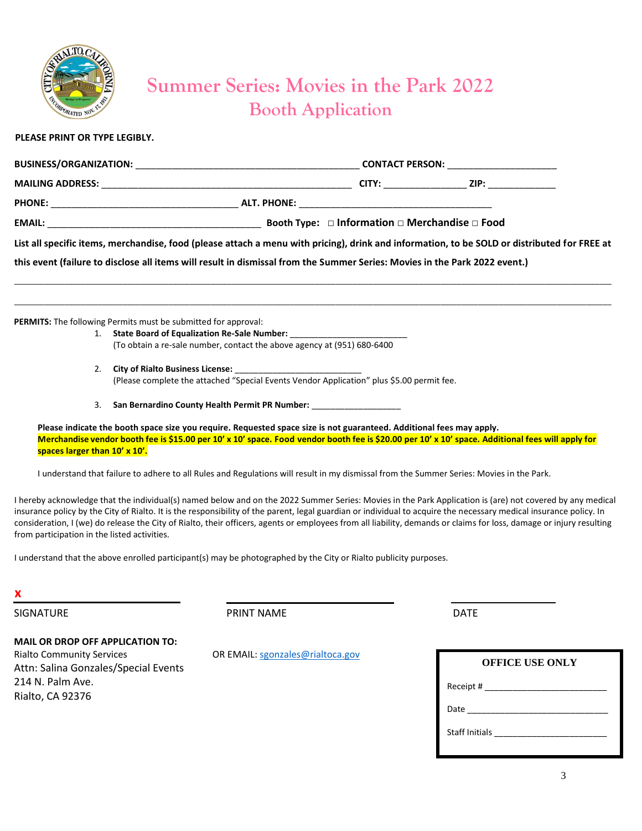

### **Summer Series: Movies in the Park 2022 Booth Application**

#### **PLEASE PRINT OR TYPE LEGIBLY.**

|                                                                                                                                                                                                                                |                                                                                                                                              | CONTACT PERSON: ___________________ |                                                               |  |
|--------------------------------------------------------------------------------------------------------------------------------------------------------------------------------------------------------------------------------|----------------------------------------------------------------------------------------------------------------------------------------------|-------------------------------------|---------------------------------------------------------------|--|
|                                                                                                                                                                                                                                |                                                                                                                                              | CITY: _______________               | ZIP: _______________                                          |  |
| PHONE: The contract of the contract of the contract of the contract of the contract of the contract of the contract of the contract of the contract of the contract of the contract of the contract of the contract of the con |                                                                                                                                              |                                     |                                                               |  |
|                                                                                                                                                                                                                                |                                                                                                                                              |                                     | Booth Type: $\Box$ Information $\Box$ Merchandise $\Box$ Food |  |
|                                                                                                                                                                                                                                | List all specific items, merchandise, food (please attach a menu with pricing), drink and information, to be SOLD or distributed for FREE at |                                     |                                                               |  |
|                                                                                                                                                                                                                                | this event (failure to disclose all items will result in dismissal from the Summer Series: Movies in the Park 2022 event.)                   |                                     |                                                               |  |

\_\_\_\_\_\_\_\_\_\_\_\_\_\_\_\_\_\_\_\_\_\_\_\_\_\_\_\_\_\_\_\_\_\_\_\_\_\_\_\_\_\_\_\_\_\_\_\_\_\_\_\_\_\_\_\_\_\_\_\_\_\_\_\_\_\_\_\_\_\_\_\_\_\_\_\_\_\_\_\_\_\_\_\_\_\_\_\_\_\_\_\_\_\_\_\_\_\_\_\_\_\_\_\_\_\_\_\_\_\_\_\_\_\_\_\_\_\_\_\_\_\_\_\_\_\_\_\_\_\_\_\_\_\_\_\_\_\_\_\_\_\_\_ \_\_\_\_\_\_\_\_\_\_\_\_\_\_\_\_\_\_\_\_\_\_\_\_\_\_\_\_\_\_\_\_\_\_\_\_\_\_\_\_\_\_\_\_\_\_\_\_\_\_\_\_\_\_\_\_\_\_\_\_\_\_\_\_\_\_\_\_\_\_\_\_\_\_\_\_\_\_\_\_\_\_\_\_\_\_\_\_\_\_\_\_\_\_\_\_\_\_\_\_\_\_\_\_\_\_\_\_\_\_\_\_\_\_\_\_\_\_\_\_\_\_\_\_\_\_\_\_\_\_\_\_\_\_\_\_\_\_\_\_\_\_\_

**PERMITS:** The following Permits must be submitted for approval:

- 1. **State Board of Equalization Re-Sale Number:** \_\_\_\_\_\_\_\_\_\_\_\_\_\_\_\_\_\_\_\_\_\_\_\_\_ (To obtain a re-sale number, contact the above agency at (951) 680-6400
- 2. City of Rialto Business License:

(Please complete the attached "Special Events Vendor Application" plus \$5.00 permit fee.

3. San Bernardino County Health Permit PR Number:

**Please indicate the booth space size you require. Requested space size is not guaranteed. Additional fees may apply. Merchandise vendor booth fee is \$15.00 per 10' x 10' space. Food vendor booth fee is \$20.00 per 10' x 10' space. Additional fees will apply for spaces larger than 10' x 10'.**

I understand that failure to adhere to all Rules and Regulations will result in my dismissal from the Summer Series: Movies in the Park.

I hereby acknowledge that the individual(s) named below and on the 2022 Summer Series: Movies in the Park Application is (are) not covered by any medical insurance policy by the City of Rialto. It is the responsibility of the parent, legal guardian or individual to acquire the necessary medical insurance policy. In consideration, I (we) do release the City of Rialto, their officers, agents or employees from all liability, demands or claims for loss, damage or injury resulting from participation in the listed activities.

I understand that the above enrolled participant(s) may be photographed by the City or Rialto publicity purposes.

**x**

SIGNATURE DATE PRINT NAME PRINT NAME

#### **MAIL OR DROP OFF APPLICATION TO:**

Rialto Community Services **OR EMAIL:** [sgonzales@rialtoca.gov](mailto:sgonzales@rialtoca.gov) Attn: Salina Gonzales/Special Events 214 N. Palm Ave. Rialto, CA 92376

| <b>OFFICE USE ONLY</b>         |  |  |  |  |
|--------------------------------|--|--|--|--|
|                                |  |  |  |  |
|                                |  |  |  |  |
| Staff Initials _______________ |  |  |  |  |